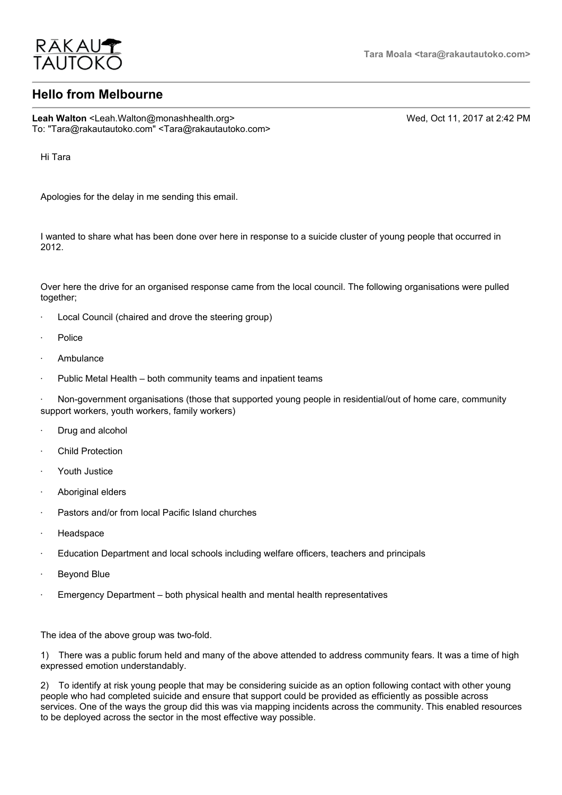

## **Hello from Melbourne**

Leah Walton <Leah.Walton@monashhealth.org> Wed, Oct 11, 2017 at 2:42 PM To: "Tara@rakautautoko.com" <Tara@rakautautoko.com>

Hi Tara

Apologies for the delay in me sending this email.

I wanted to share what has been done over here in response to a suicide cluster of young people that occurred in 2012.

Over here the drive for an organised response came from the local council. The following organisations were pulled together;

- Local Council (chaired and drove the steering group)
- · Police
- **Ambulance**
- Public Metal Health both community teams and inpatient teams

Non-government organisations (those that supported young people in residential/out of home care, community support workers, youth workers, family workers)

- Drug and alcohol
- **Child Protection**
- · Youth Justice
- · Aboriginal elders
- Pastors and/or from local Pacific Island churches
- **Headspace**
- · Education Department and local schools including welfare officers, teachers and principals
- · Beyond Blue
- · Emergency Department both physical health and mental health representatives

The idea of the above group was two-fold.

1) There was a public forum held and many of the above attended to address community fears. It was a time of high expressed emotion understandably.

2) To identify at risk young people that may be considering suicide as an option following contact with other young people who had completed suicide and ensure that support could be provided as efficiently as possible across services. One of the ways the group did this was via mapping incidents across the community. This enabled resources to be deployed across the sector in the most effective way possible.